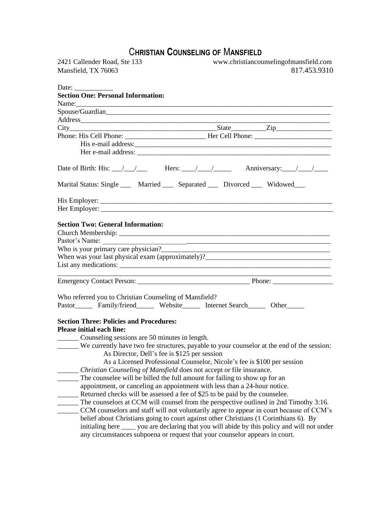## C**HRISTIAN COUNSELING OF** M**ANSFIELD**

| 2421 Callender Road, Ste 133                           | www.christiancounselingofmansfield.com                                                                                                                                                                                        |
|--------------------------------------------------------|-------------------------------------------------------------------------------------------------------------------------------------------------------------------------------------------------------------------------------|
| Mansfield, TX 76063                                    | 817.453.9310                                                                                                                                                                                                                  |
|                                                        |                                                                                                                                                                                                                               |
| <b>Section One: Personal Information:</b>              |                                                                                                                                                                                                                               |
|                                                        |                                                                                                                                                                                                                               |
|                                                        | Name: Name: Name: Name: Name: Name: Name: Name: Name: Name: Name: Name: Name: Name: Name: Name: Name: Name: Name: Name: Name: Name: Name: Name: Name: Name: Name: Name: Name: Name: Name: Name: Name: Name: Name: Name: Name: |
|                                                        |                                                                                                                                                                                                                               |
|                                                        |                                                                                                                                                                                                                               |
|                                                        |                                                                                                                                                                                                                               |
|                                                        |                                                                                                                                                                                                                               |
|                                                        |                                                                                                                                                                                                                               |
|                                                        |                                                                                                                                                                                                                               |
|                                                        |                                                                                                                                                                                                                               |
|                                                        | Marital Status: Single ___ Married ___ Separated __ Divorced ___ Widowed ___                                                                                                                                                  |
|                                                        |                                                                                                                                                                                                                               |
|                                                        |                                                                                                                                                                                                                               |
|                                                        |                                                                                                                                                                                                                               |
| <b>Section Two: General Information:</b>               |                                                                                                                                                                                                                               |
|                                                        |                                                                                                                                                                                                                               |
|                                                        |                                                                                                                                                                                                                               |
|                                                        | Who is your primary care physician?                                                                                                                                                                                           |
|                                                        | When was your last physical exam (approximately)?________________________________                                                                                                                                             |
|                                                        |                                                                                                                                                                                                                               |
|                                                        |                                                                                                                                                                                                                               |
|                                                        |                                                                                                                                                                                                                               |
|                                                        |                                                                                                                                                                                                                               |
| Who referred you to Christian Counseling of Mansfield? |                                                                                                                                                                                                                               |
|                                                        | Pastor________ Family/friend_________ Website_________ Internet Search________ Other_______                                                                                                                                   |
|                                                        |                                                                                                                                                                                                                               |
| <b>Section Three: Policies and Procedures:</b>         |                                                                                                                                                                                                                               |
| <b>Please initial each line:</b>                       |                                                                                                                                                                                                                               |
| Counseling sessions are 50 minutes in length.          |                                                                                                                                                                                                                               |
|                                                        | We currently have two fee structures, payable to your counselor at the end of the session:                                                                                                                                    |
| As Director, Dell's fee is \$125 per session           |                                                                                                                                                                                                                               |
|                                                        | As a Licensed Professional Counselor, Nicole's fee is \$100 per session                                                                                                                                                       |
|                                                        | Christian Counseling of Mansfield does not accept or file insurance.                                                                                                                                                          |
|                                                        | The counselee will be billed the full amount for failing to show up for an                                                                                                                                                    |
|                                                        | appointment, or canceling an appointment with less than a 24-hour notice.                                                                                                                                                     |
|                                                        | Returned checks will be assessed a fee of \$25 to be paid by the counselee.                                                                                                                                                   |
|                                                        |                                                                                                                                                                                                                               |
|                                                        | The counselors at CCM will counsel from the perspective outlined in 2nd Timothy 3:16.                                                                                                                                         |
|                                                        | CCM counselors and staff will not voluntarily agree to appear in court because of CCM's                                                                                                                                       |
|                                                        | belief about Christians going to court against other Christians (1 Corinthians 6). By                                                                                                                                         |
|                                                        | initialing here ______ you are declaring that you will abide by this policy and will not under                                                                                                                                |
|                                                        | any circumstances subpoena or request that your counselor appears in court.                                                                                                                                                   |